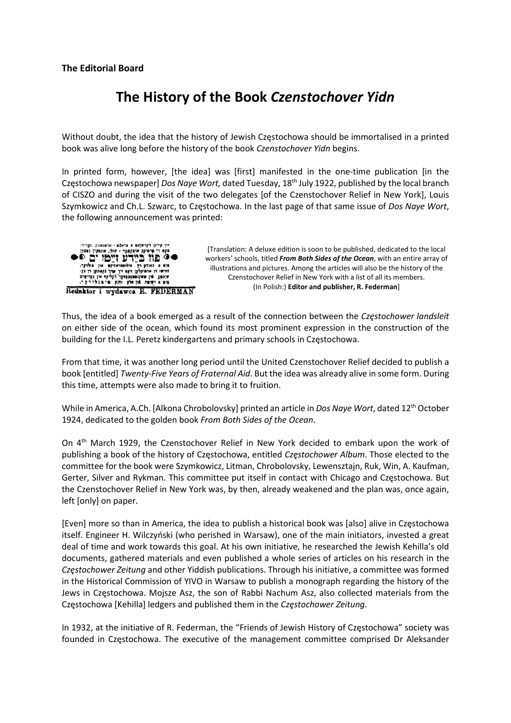#### The Editorial Board

# The History of the Book Czenstochover Yidn

Without doubt, the idea that the history of Jewish Częstochowa should be immortalised in a printed book was alive long before the history of the book Czenstochover Yidn begins.

In printed form, however, [the idea] was [first] manifested in the one-time publication [in the Częstochowa newspaper] Dos Naye Wort, dated Tuesday, 18<sup>th</sup> July 1922, published by the local branch of CISZO and during the visit of the two delegates [of the Czenstochover Relief in New York], Louis Szymkowicz and Ch.L. Szwarc, to Częstochowa. In the last page of that same issue of Dos Naye Wort, the following announcement was printed:



[Translation: A deluxe edition is soon to be published, dedicated to the local workers' schools, titled From Both Sides of the Ocean, with an entire array of illustrations and pictures. Among the articles will also be the history of the Czenstochover Relief in New York with a list of all its members. (In Polish:) Editor and publisher, R. Federman]

Thus, the idea of a book emerged as a result of the connection between the Częstochower landsleit on either side of the ocean, which found its most prominent expression in the construction of the building for the I.L. Peretz kindergartens and primary schools in Częstochowa.

From that time, it was another long period until the United Czenstochover Relief decided to publish a book [entitled] Twenty-Five Years of Fraternal Aid. But the idea was already alive in some form. During this time, attempts were also made to bring it to fruition.

While in America, A.Ch. [Alkona Chrobolovsky] printed an article in Dos Naye Wort, dated 12<sup>th</sup> October 1924, dedicated to the golden book From Both Sides of the Ocean.

On 4th March 1929, the Czenstochover Relief in New York decided to embark upon the work of publishing a book of the history of Częstochowa, entitled Częstochower Album. Those elected to the committee for the book were Szymkowicz, Litman, Chrobolovsky, Lewensztajn, Ruk, Win, A. Kaufman, Gerter, Silver and Rykman. This committee put itself in contact with Chicago and Częstochowa. But the Czenstochover Relief in New York was, by then, already weakened and the plan was, once again, left [only] on paper.

[Even] more so than in America, the idea to publish a historical book was [also] alive in Częstochowa itself. Engineer H. Wilczyński (who perished in Warsaw), one of the main initiators, invested a great deal of time and work towards this goal. At his own initiative, he researched the Jewish Kehilla's old documents, gathered materials and even published a whole series of articles on his research in the Częstochower Zeitung and other Yiddish publications. Through his initiative, a committee was formed in the Historical Commission of YIVO in Warsaw to publish a monograph regarding the history of the Jews in Częstochowa. Mojsze Asz, the son of Rabbi Nachum Asz, also collected materials from the Częstochowa [Kehilla] ledgers and published them in the Częstochower Zeitung.

In 1932, at the initiative of R. Federman, the "Friends of Jewish History of Częstochowa" society was founded in Częstochowa. The executive of the management committee comprised Dr Aleksander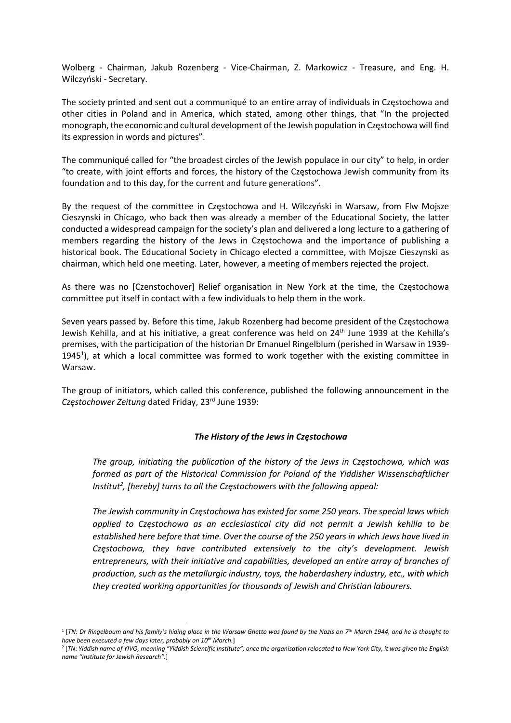Wolberg - Chairman, Jakub Rozenberg - Vice-Chairman, Z. Markowicz - Treasure, and Eng. H. Wilczyński - Secretary.

The society printed and sent out a communiqué to an entire array of individuals in Częstochowa and other cities in Poland and in America, which stated, among other things, that "In the projected monograph, the economic and cultural development of the Jewish population in Częstochowa will find its expression in words and pictures".

The communiqué called for "the broadest circles of the Jewish populace in our city" to help, in order "to create, with joint efforts and forces, the history of the Częstochowa Jewish community from its foundation and to this day, for the current and future generations".

By the request of the committee in Częstochowa and H. Wilczyński in Warsaw, from Flw Mojsze Cieszynski in Chicago, who back then was already a member of the Educational Society, the latter conducted a widespread campaign for the society's plan and delivered a long lecture to a gathering of members regarding the history of the Jews in Częstochowa and the importance of publishing a historical book. The Educational Society in Chicago elected a committee, with Mojsze Cieszynski as chairman, which held one meeting. Later, however, a meeting of members rejected the project.

As there was no [Czenstochover] Relief organisation in New York at the time, the Częstochowa committee put itself in contact with a few individuals to help them in the work.

Seven years passed by. Before this time, Jakub Rozenberg had become president of the Częstochowa Jewish Kehilla, and at his initiative, a great conference was held on 24<sup>th</sup> June 1939 at the Kehilla's premises, with the participation of the historian Dr Emanuel Ringelblum (perished in Warsaw in 1939- 1945<sup>1</sup>), at which a local committee was formed to work together with the existing committee in Warsaw.

The group of initiators, which called this conference, published the following announcement in the Częstochower Zeitung dated Friday, 23rd June 1939;

#### The History of the Jews in Częstochowa

The group, initiating the publication of the history of the Jews in Częstochowa, which was formed as part of the Historical Commission for Poland of the Yiddisher Wissenschaftlicher Institut<sup>2</sup>, [hereby] turns to all the Częstochowers with the following appeal:

The Jewish community in Częstochowa has existed for some 250 years. The special laws which applied to Częstochowa as an ecclesiastical city did not permit a Jewish kehilla to be established here before that time. Over the course of the 250 years in which Jews have lived in Częstochowa, they have contributed extensively to the city's development. Jewish entrepreneurs, with their initiative and capabilities, developed an entire array of branches of production, such as the metallurgic industry, toys, the haberdashery industry, etc., with which they created working opportunities for thousands of Jewish and Christian labourers.

 $^1$  [TN: Dr Ringelbaum and his family's hiding place in the Warsaw Ghetto was found by the Nazis on 7<sup>th</sup> March 1944, and he is thought to have been executed a few days later, probably on 10<sup>th</sup> March.]

<sup>2</sup> [TN: Yiddish name of YIVO, meaning "Yiddish Scientific Institute"; once the organisation relocated to New York City, it was given the English name "Institute for Jewish Research".]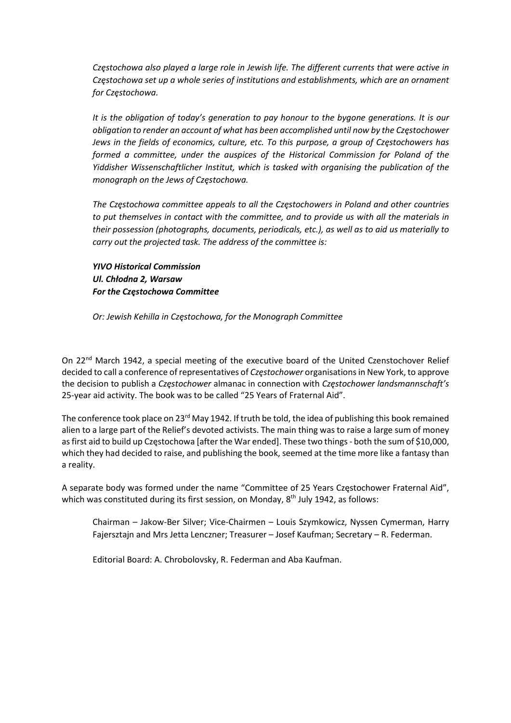Częstochowa also played a large role in Jewish life. The different currents that were active in Częstochowa set up a whole series of institutions and establishments, which are an ornament for Częstochowa.

It is the obligation of today's generation to pay honour to the bygone generations. It is our obligation to render an account of what has been accomplished until now by the Częstochower Jews in the fields of economics, culture, etc. To this purpose, a group of Częstochowers has formed a committee, under the auspices of the Historical Commission for Poland of the Yiddisher Wissenschaftlicher Institut, which is tasked with organising the publication of the monograph on the Jews of Częstochowa.

The Częstochowa committee appeals to all the Częstochowers in Poland and other countries to put themselves in contact with the committee, and to provide us with all the materials in their possession (photographs, documents, periodicals, etc.), as well as to aid us materially to carry out the projected task. The address of the committee is:

YIVO Historical Commission Ul. Chłodna 2, Warsaw For the Częstochowa Committee

Or: Jewish Kehilla in Częstochowa, for the Monograph Committee

On 22<sup>nd</sup> March 1942, a special meeting of the executive board of the United Czenstochover Relief decided to call a conference of representatives of Częstochower organisations in New York, to approve the decision to publish a Częstochower almanac in connection with Częstochower landsmannschaft's 25-year aid activity. The book was to be called "25 Years of Fraternal Aid".

The conference took place on 23<sup>rd</sup> May 1942. If truth be told, the idea of publishing this book remained alien to a large part of the Relief's devoted activists. The main thing was to raise a large sum of money as first aid to build up Częstochowa [after the War ended]. These two things - both the sum of \$10,000, which they had decided to raise, and publishing the book, seemed at the time more like a fantasy than a reality.

A separate body was formed under the name "Committee of 25 Years Częstochower Fraternal Aid", which was constituted during its first session, on Monday, 8<sup>th</sup> July 1942, as follows:

Chairman – Jakow-Ber Silver; Vice-Chairmen – Louis Szymkowicz, Nyssen Cymerman, Harry Fajersztajn and Mrs Jetta Lenczner; Treasurer – Josef Kaufman; Secretary – R. Federman.

Editorial Board: A. Chrobolovsky, R. Federman and Aba Kaufman.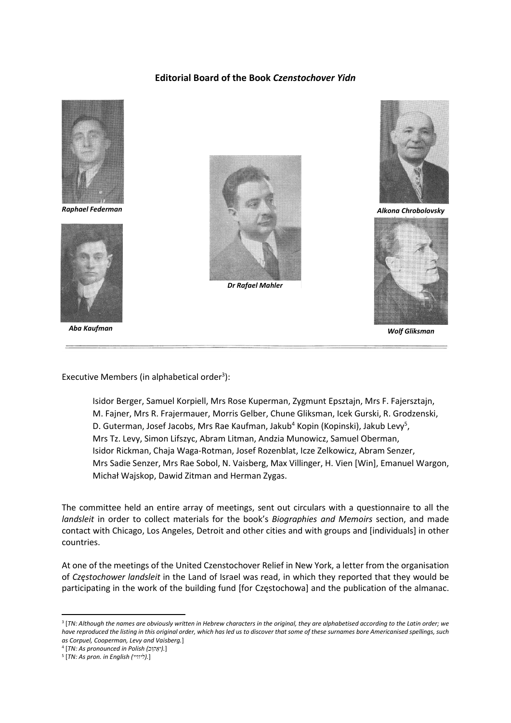### Editorial Board of the Book Czenstochover Yidn



Raphael Federman



Aba Kaufman



Dr Rafael Mahler



Alkona Chrobolovsky



Wolf Gliksman

Executive Members (in alphabetical order $3$ ):

Isidor Berger, Samuel Korpiell, Mrs Rose Kuperman, Zygmunt Epsztajn, Mrs F. Fajersztajn, M. Fajner, Mrs R. Frajermauer, Morris Gelber, Chune Gliksman, Icek Gurski, R. Grodzenski, D. Guterman, Josef Jacobs, Mrs Rae Kaufman, Jakub<sup>4</sup> Kopin (Kopinski), Jakub Levy<sup>5</sup>, Mrs Tz. Levy, Simon Lifszyc, Abram Litman, Andzia Munowicz, Samuel Oberman, Isidor Rickman, Chaja Waga-Rotman, Josef Rozenblat, Icze Zelkowicz, Abram Senzer, Mrs Sadie Senzer, Mrs Rae Sobol, N. Vaisberg, Max Villinger, H. Vien [Win], Emanuel Wargon, Michał Wajskop, Dawid Zitman and Herman Zygas.

The committee held an entire array of meetings, sent out circulars with a questionnaire to all the landsleit in order to collect materials for the book's Biographies and Memoirs section, and made contact with Chicago, Los Angeles, Detroit and other cities and with groups and [individuals] in other countries.

At one of the meetings of the United Czenstochover Relief in New York, a letter from the organisation of Częstochower landsleit in the Land of Israel was read, in which they reported that they would be participating in the work of the building fund [for Częstochowa] and the publication of the almanac.

<sup>3</sup> [TN: Although the names are obviously written in Hebrew characters in the original, they are alphabetised according to the Latin order; we have reproduced the listing in this original order, which has led us to discover that some of these surnames bore Americanised spellings, such as Corpuel, Cooperman, Levy and Vaisberg.]

<sup>&</sup>lt;sup>4</sup> [TN: As pronounced in Polish (יאֵקוּב).]

<sup>&</sup>lt;sup>5</sup> [TN: As pron. in English (ליוויי).]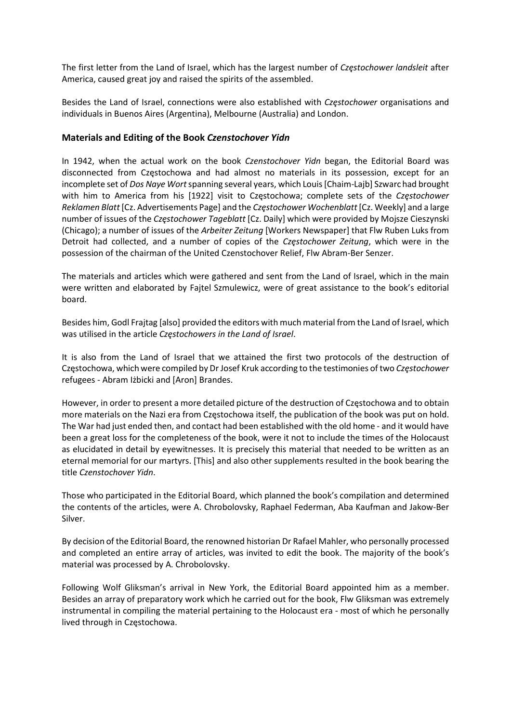The first letter from the Land of Israel, which has the largest number of Częstochower landsleit after America, caused great joy and raised the spirits of the assembled.

Besides the Land of Israel, connections were also established with Częstochower organisations and individuals in Buenos Aires (Argentina), Melbourne (Australia) and London.

#### Materials and Editing of the Book Czenstochover Yidn

In 1942, when the actual work on the book Czenstochover Yidn began, the Editorial Board was disconnected from Częstochowa and had almost no materials in its possession, except for an incomplete set of Dos Naye Wort spanning several years, which Louis [Chaim-Lajb] Szwarc had brought with him to America from his [1922] visit to Częstochowa; complete sets of the Częstochower Reklamen Blatt [Cz. Advertisements Page] and the Częstochower Wochenblatt [Cz. Weekly] and a large number of issues of the Częstochower Tageblatt [Cz. Daily] which were provided by Mojsze Cieszynski (Chicago); a number of issues of the Arbeiter Zeitung [Workers Newspaper] that Flw Ruben Luks from Detroit had collected, and a number of copies of the Czestochower Zeitung, which were in the possession of the chairman of the United Czenstochover Relief, Flw Abram-Ber Senzer.

The materials and articles which were gathered and sent from the Land of Israel, which in the main were written and elaborated by Fajtel Szmulewicz, were of great assistance to the book's editorial board.

Besides him, Godl Frajtag [also] provided the editors with much material from the Land of Israel, which was utilised in the article Częstochowers in the Land of Israel.

It is also from the Land of Israel that we attained the first two protocols of the destruction of Częstochowa, which were compiled by Dr Josef Kruk according to the testimonies of two Częstochower refugees - Abram Iżbicki and [Aron] Brandes.

However, in order to present a more detailed picture of the destruction of Częstochowa and to obtain more materials on the Nazi era from Częstochowa itself, the publication of the book was put on hold. The War had just ended then, and contact had been established with the old home - and it would have been a great loss for the completeness of the book, were it not to include the times of the Holocaust as elucidated in detail by eyewitnesses. It is precisely this material that needed to be written as an eternal memorial for our martyrs. [This] and also other supplements resulted in the book bearing the title Czenstochover Yidn.

Those who participated in the Editorial Board, which planned the book's compilation and determined the contents of the articles, were A. Chrobolovsky, Raphael Federman, Aba Kaufman and Jakow-Ber Silver.

By decision of the Editorial Board, the renowned historian Dr Rafael Mahler, who personally processed and completed an entire array of articles, was invited to edit the book. The majority of the book's material was processed by A. Chrobolovsky.

Following Wolf Gliksman's arrival in New York, the Editorial Board appointed him as a member. Besides an array of preparatory work which he carried out for the book, Flw Gliksman was extremely instrumental in compiling the material pertaining to the Holocaust era - most of which he personally lived through in Częstochowa.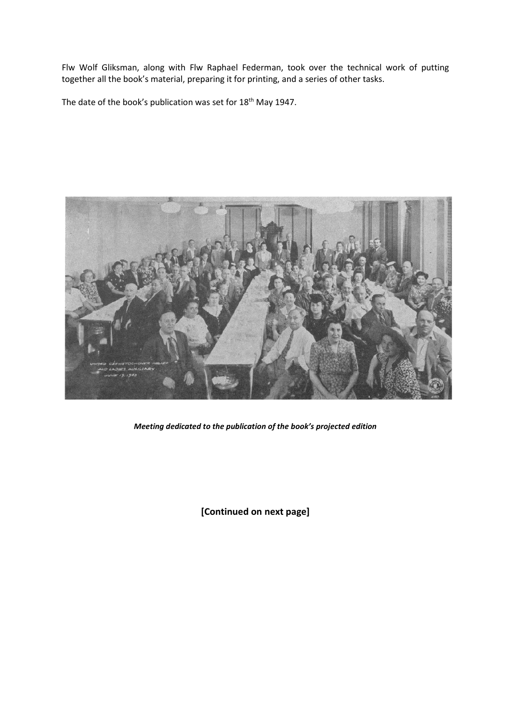Flw Wolf Gliksman, along with Flw Raphael Federman, took over the technical work of putting together all the book's material, preparing it for printing, and a series of other tasks.

The date of the book's publication was set for 18<sup>th</sup> May 1947.



Meeting dedicated to the publication of the book's projected edition

[Continued on next page]